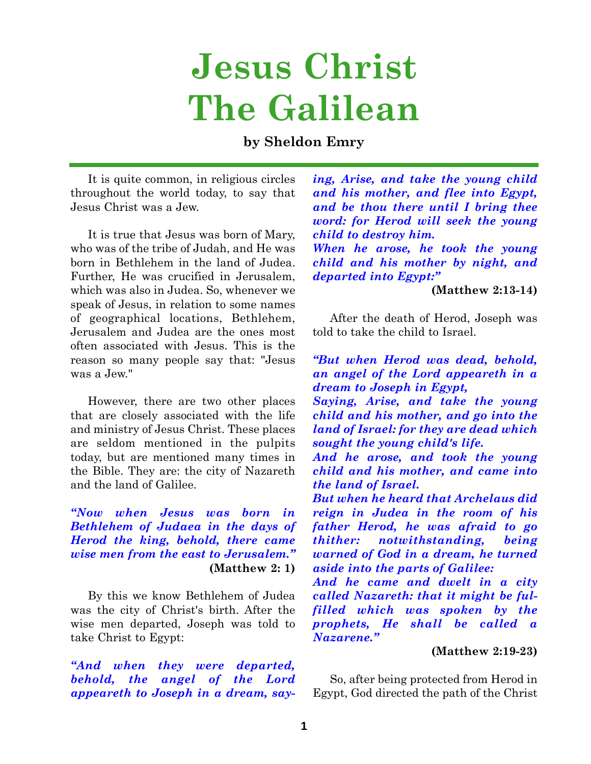# **Jesus Christ The Galilean**

# **by Sheldon Emry**

It is quite common, in religious circles throughout the world today, to say that Jesus Christ was a Jew.

It is true that Jesus was born of Mary, who was of the tribe of Judah, and He was born in Bethlehem in the land of Judea. Further, He was crucified in Jerusalem, which was also in Judea. So, whenever we speak of Jesus, in relation to some names of geographical locations, Bethlehem, Jerusalem and Judea are the ones most often associated with Jesus. This is the reason so many people say that: "Jesus was a Jew."

However, there are two other places that are closely associated with the life and ministry of Jesus Christ. These places are seldom mentioned in the pulpits today, but are mentioned many times in the Bible. They are: the city of Nazareth and the land of Galilee.

*"Now when Jesus was born in Bethlehem of Judaea in the days of Herod the king, behold, there came wise men from the east to Jerusalem."* **(Matthew 2: 1)**

By this we know Bethlehem of Judea was the city of Christ's birth. After the wise men departed, Joseph was told to take Christ to Egypt:

*"And when they were departed, behold, the angel of the Lord appeareth to Joseph in a dream, say-* *ing, Arise, and take the young child and his mother, and flee into Egypt, and be thou there until I bring thee word: for Herod will seek the young child to destroy him.*

*When he arose, he took the young child and his mother by night, and departed into Egypt:"*

#### **(Matthew 2:13-14)**

After the death of Herod, Joseph was told to take the child to Israel.

*"But when Herod was dead, behold, an angel of the Lord appeareth in a dream to Joseph in Egypt,*

*Saying, Arise, and take the young child and his mother, and go into the land of Israel: for they are dead which sought the young child's life.*

*And he arose, and took the young child and his mother, and came into the land of Israel.*

*But when he heard that Archelaus did reign in Judea in the room of his father Herod, he was afraid to go thither: notwithstanding, being warned of God in a dream, he turned aside into the parts of Galilee:*

*And he came and dwelt in a city called Nazareth: that it might be fulfilled which was spoken by the prophets, He shall be called a Nazarene."*

#### **(Matthew 2:19-23)**

So, after being protected from Herod in Egypt, God directed the path of the Christ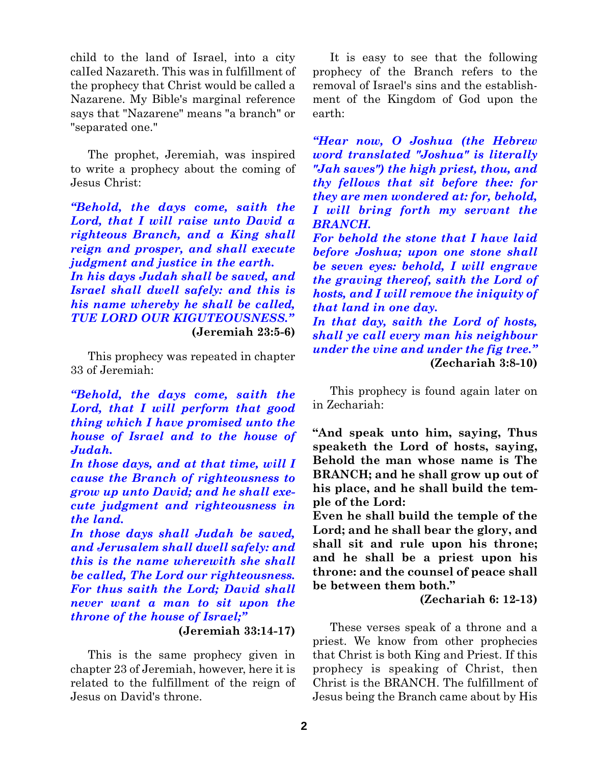child to the land of Israel, into a city calIed Nazareth. This was in fulfillment of the prophecy that Christ would be called a Nazarene. My Bible's marginal reference says that "Nazarene" means "a branch" or "separated one."

The prophet, Jeremiah, was inspired to write a prophecy about the coming of Jesus Christ:

*"Behold, the days come, saith the Lord, that I will raise unto David a righteous Branch, and a King shall reign and prosper, and shall execute judgment and justice in the earth. In his days Judah shall be saved, and Israel shall dwell safely: and this is his name whereby he shall be called, TUE LORD OUR KIGUTEOUSNESS."* **(Jeremiah 23:5-6)**

This prophecy was repeated in chapter 33 of Jeremiah:

*"Behold, the days come, saith the Lord, that I will perform that good thing which I have promised unto the house of Israel and to the house of Judah.*

*In those days, and at that time, will I cause the Branch of righteousness to grow up unto David; and he shall execute judgment and righteousness in the land.*

*In those days shall Judah be saved, and Jerusalem shall dwell safely: and this is the name wherewith she shall be called, The Lord our righteousness. For thus saith the Lord; David shall never want a man to sit upon the throne of the house of Israel;"*

**(Jeremiah 33:14-17)**

This is the same prophecy given in chapter 23 of Jeremiah, however, here it is related to the fulfillment of the reign of Jesus on David's throne.

It is easy to see that the following prophecy of the Branch refers to the removal of Israel's sins and the establishment of the Kingdom of God upon the earth:

*"Hear now, O Joshua (the Hebrew word translated "Joshua" is literally "Jah saves") the high priest, thou, and thy fellows that sit before thee: for they are men wondered at: for, behold, I will bring forth my servant the BRANCH.*

*For behold the stone that I have laid before Joshua; upon one stone shall be seven eyes: behold, I will engrave the graving thereof, saith the Lord of hosts, and I will remove the iniquity of that land in one day.*

*In that day, saith the Lord of hosts, shall ye call every man his neighbour under the vine and under the fig tree."* **(Zechariah 3:8-10)**

This prophecy is found again later on in Zechariah:

**"And speak unto him, saying, Thus speaketh the Lord of hosts, saying, Behold the man whose name is The BRANCH; and he shall grow up out of his place, and he shall build the temple of the Lord:**

**Even he shall build the temple of the Lord; and he shall bear the glory, and shall sit and rule upon his throne; and he shall be a priest upon his throne: and the counsel of peace shall be between them both."**

**(Zechariah 6: 12-13)**

These verses speak of a throne and a priest. We know from other prophecies that Christ is both King and Priest. If this prophecy is speaking of Christ, then Christ is the BRANCH. The fulfillment of Jesus being the Branch came about by His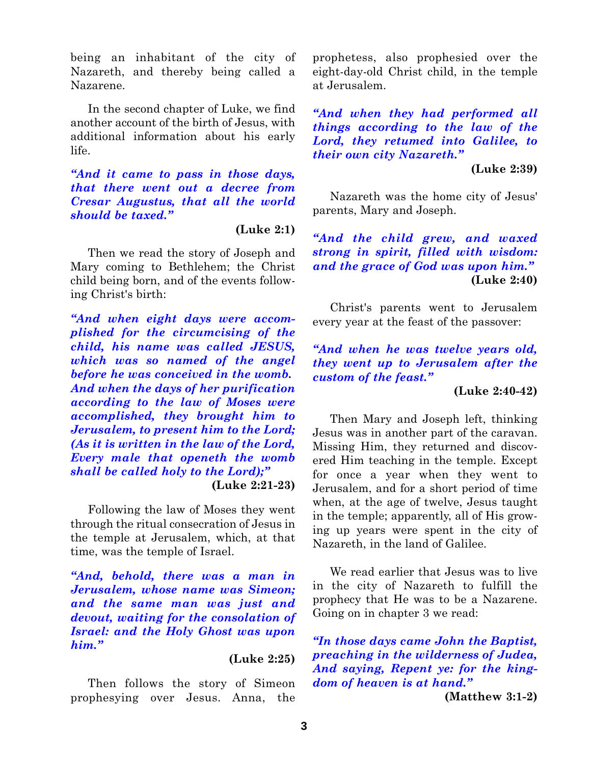being an inhabitant of the city of Nazareth, and thereby being called a Nazarene.

In the second chapter of Luke, we find another account of the birth of Jesus, with additional information about his early life.

*"And it came to pass in those days, that there went out a decree from Cresar Augustus, that all the world should be taxed."*

**(Luke 2:1)**

Then we read the story of Joseph and Mary coming to Bethlehem; the Christ child being born, and of the events following Christ's birth:

*"And when eight days were accomplished for the circumcising of the child, his name was called JESUS, which was so named of the angel before he was conceived in the womb. And when the days of her purification according to the law of Moses were accomplished, they brought him to Jerusalem, to present him to the Lord; (As it is written in the law of the Lord, Every male that openeth the womb shall be called holy to the Lord);"*

**(Luke 2:21-23)**

Following the law of Moses they went through the ritual consecration of Jesus in the temple at Jerusalem, which, at that time, was the temple of Israel.

*"And, behold, there was a man in Jerusalem, whose name was Simeon; and the same man was just and devout, waiting for the consolation of Israel: and the Holy Ghost was upon him."*

## **(Luke 2:25)**

Then follows the story of Simeon prophesying over Jesus. Anna, the prophetess, also prophesied over the eight-day-old Christ child, in the temple at Jerusalem.

*"And when they had performed all things according to the law of the Lord, they retumed into Galilee, to their own city Nazareth."*

## **(Luke 2:39)**

Nazareth was the home city of Jesus' parents, Mary and Joseph.

*"And the child grew, and waxed strong in spirit, filled with wisdom: and the grace of God was upon him."* **(Luke 2:40)**

Christ's parents went to Jerusalem every year at the feast of the passover:

*"And when he was twelve years old, they went up to Jerusalem after the custom of the feast."*

#### **(Luke 2:40-42)**

Then Mary and Joseph left, thinking Jesus was in another part of the caravan. Missing Him, they returned and discovered Him teaching in the temple. Except for once a year when they went to Jerusalem, and for a short period of time when, at the age of twelve, Jesus taught in the temple; apparently, all of His growing up years were spent in the city of Nazareth, in the land of Galilee.

We read earlier that Jesus was to live in the city of Nazareth to fulfill the prophecy that He was to be a Nazarene. Going on in chapter 3 we read:

*"In those days came John the Baptist, preaching in the wilderness of Judea, And saying, Repent ye: for the kingdom of heaven is at hand."*

**(Matthew 3:1-2)**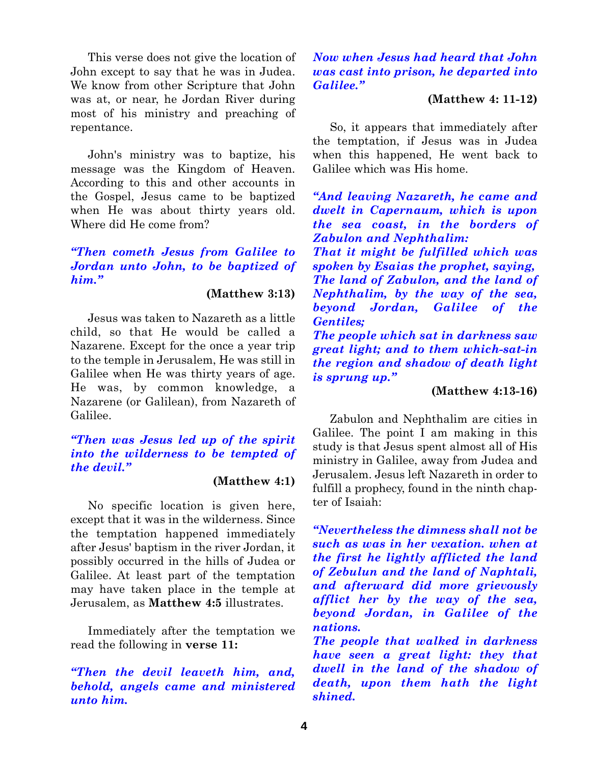This verse does not give the location of John except to say that he was in Judea. We know from other Scripture that John was at, or near, he Jordan River during most of his ministry and preaching of repentance.

John's ministry was to baptize, his message was the Kingdom of Heaven. According to this and other accounts in the Gospel, Jesus came to be baptized when He was about thirty years old. Where did He come from?

## *"Then cometh Jesus from Galilee to Jordan unto John, to be baptized of him."*

#### **(Matthew 3:13)**

Jesus was taken to Nazareth as a little child, so that He would be called a Nazarene. Except for the once a year trip to the temple in Jerusalem, He was still in Galilee when He was thirty years of age. He was, by common knowledge, a Nazarene (or Galilean), from Nazareth of Galilee.

## *"Then was Jesus led up of the spirit into the wilderness to be tempted of the devil."*

## **(Matthew 4:1)**

No specific location is given here, except that it was in the wilderness. Since the temptation happened immediately after Jesus' baptism in the river Jordan, it possibly occurred in the hills of Judea or Galilee. At least part of the temptation may have taken place in the temple at Jerusalem, as **Matthew 4:5** illustrates.

Immediately after the temptation we read the following in **verse 11:**

## *"Then the devil leaveth him, and, behold, angels came and ministered unto him.*

## *Now when Jesus had heard that John was cast into prison, he departed into Galilee."*

## **(Matthew 4: 11-12)**

So, it appears that immediately after the temptation, if Jesus was in Judea when this happened, He went back to Galilee which was His home.

*"And leaving Nazareth, he came and dwelt in Capernaum, which is upon the sea coast, in the borders of Zabulon and Nephthalim: That it might be fulfilled which was spoken by Esaias the prophet, saying, The land of Zabulon, and the land of*

*Nephthalim, by the way of the sea, beyond Jordan, Galilee of the Gentiles;*

*The people which sat in darkness saw great light; and to them which-sat-in the region and shadow of death light is sprung up."*

## **(Matthew 4:13-16)**

Zabulon and Nephthalim are cities in Galilee. The point I am making in this study is that Jesus spent almost all of His ministry in Galilee, away from Judea and Jerusalem. Jesus left Nazareth in order to fulfill a prophecy, found in the ninth chapter of Isaiah:

*"Nevertheless the dimness shall not be such as was in her vexation. when at the first he lightly afflicted the land of Zebulun and the land of Naphtali, and afterward did more grievously afflict her by the way of the sea, beyond Jordan, in Galilee of the nations.*

*The people that walked in darkness have seen a great light: they that dwell in the land of the shadow of death, upon them hath the light shined.*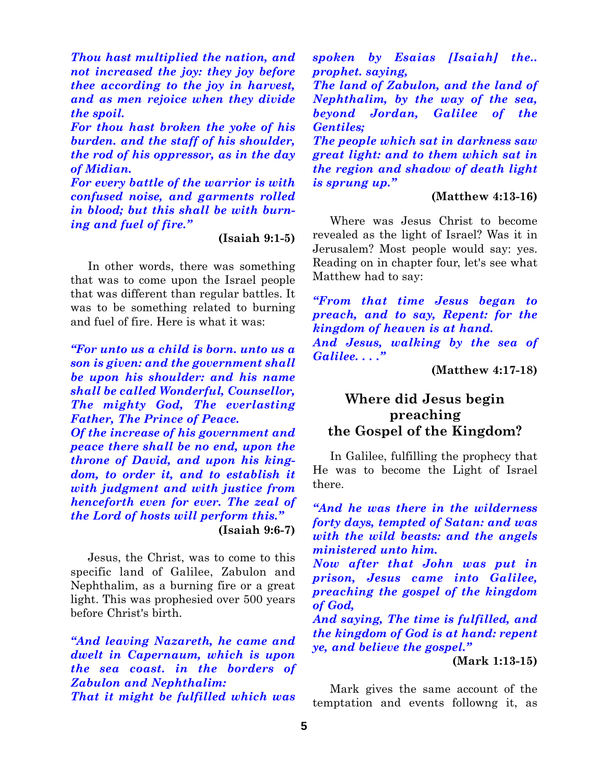*Thou hast multiplied the nation, and not increased the joy: they joy before thee according to the joy in harvest, and as men rejoice when they divide the spoil.*

*For thou hast broken the yoke of his burden. and the staff of his shoulder, the rod of his oppressor, as in the day of Midian.*

*For every battle of the warrior is with confused noise, and garments rolled in blood; but this shall be with burning and fuel of fire."*

**(Isaiah 9:1-5)**

In other words, there was something that was to come upon the Israel people that was different than regular battles. It was to be something related to burning and fuel of fire. Here is what it was:

*"For unto us a child is born. unto us a son is given: and the government shall be upon his shoulder: and his name shall be called Wonderful, Counsellor, The mighty God, The everlasting Father, The Prince of Peace.*

*Of the increase of his government and peace there shall be no end, upon the throne of David, and upon his kingdom, to order it, and to establish it with judgment and with justice from henceforth even for ever. The zeal of the Lord of hosts will perform this."* **(Isaiah 9:6-7)**

Jesus, the Christ, was to come to this specific land of Galilee, Zabulon and Nephthalim, as a burning fire or a great light. This was prophesied over 500 years before Christ's birth.

*"And leaving Nazareth, he came and dwelt in Capernaum, which is upon the sea coast. in the borders of Zabulon and Nephthalim: That it might be fulfilled which was*

*spoken by Esaias [Isaiah] the.. prophet. saying,*

*The land of Zabulon, and the land of Nephthalim, by the way of the sea, beyond Jordan, Galilee of the Gentiles;*

*The people which sat in darkness saw great light: and to them which sat in the region and shadow of death light is sprung up."*

#### **(Matthew 4:13-16)**

Where was Jesus Christ to become revealed as the light of Israel? Was it in Jerusalem? Most people would say: yes. Reading on in chapter four, let's see what Matthew had to say:

*"From that time Jesus began to preach, and to say, Repent: for the kingdom of heaven is at hand. And Jesus, walking by the sea of Galilee. . . ."*

**(Matthew 4:17-18)**

# **Where did Jesus begin preaching the Gospel of the Kingdom?**

In Galilee, fulfilling the prophecy that He was to become the Light of Israel there.

*"And he was there in the wilderness forty days, tempted of Satan: and was with the wild beasts: and the angels ministered unto him.*

*Now after that John was put in prison, Jesus came into Galilee, preaching the gospel of the kingdom of God,*

*And saying, The time is fulfilled, and the kingdom of God is at hand: repent ye, and believe the gospel."*

**(Mark 1:13-15)**

Mark gives the same account of the temptation and events followng it, as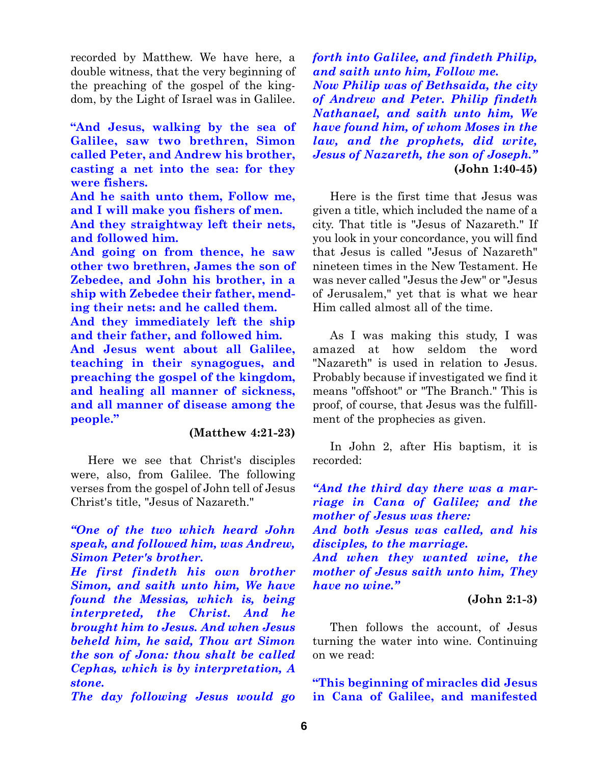recorded by Matthew. We have here, a double witness, that the very beginning of the preaching of the gospel of the kingdom, by the Light of Israel was in Galilee.

**"And Jesus, walking by the sea of Galilee, saw two brethren, Simon called Peter, and Andrew his brother, casting a net into the sea: for they were fishers.**

**And he saith unto them, Follow me, and I will make you fishers of men.**

**And they straightway left their nets, and followed him.**

**And going on from thence, he saw other two brethren, James the son of Zebedee, and John his brother, in a ship with Zebedee their father, mending their nets: and he called them.**

**And they immediately left the ship and their father, and followed him.**

**And Jesus went about all Galilee, teaching in their synagogues, and preaching the gospel of the kingdom, and healing all manner of sickness, and all manner of disease among the people."**

## **(Matthew 4:21-23)**

Here we see that Christ's disciples were, also, from Galilee. The following verses from the gospel of John tell of Jesus Christ's title, "Jesus of Nazareth."

## *"One of the two which heard John speak, and followed him, was Andrew, Simon Peter's brother.*

*He first findeth his own brother Simon, and saith unto him, We have found the Messias, which is, being interpreted, the Christ. And he brought him to Jesus. And when Jesus beheld him, he said, Thou art Simon the son of Jona: thou shalt be called Cephas, which is by interpretation, A stone.*

*The day following Jesus would go*

*forth into Galilee, and findeth Philip, and saith unto him, Follow me. Now Philip was of Bethsaida, the city of Andrew and Peter. Philip findeth Nathanael, and saith unto him, We have found him, of whom Moses in the law, and the prophets, did write, Jesus of Nazareth, the son of Joseph."* **(John 1:40-45)**

Here is the first time that Jesus was given a title, which included the name of a city. That title is "Jesus of Nazareth." If you look in your concordance, you will find that Jesus is called "Jesus of Nazareth" nineteen times in the New Testament. He was never called "Jesus the Jew" or "Jesus of Jerusalem," yet that is what we hear Him called almost all of the time.

As I was making this study, I was amazed at how seldom the word "Nazareth" is used in relation to Jesus. Probably because if investigated we find it means "offshoot" or "The Branch." This is proof, of course, that Jesus was the fulfillment of the prophecies as given.

In John 2, after His baptism, it is recorded:

*"And the third day there was a marriage in Cana of Galilee; and the mother of Jesus was there: And both Jesus was called, and his*

*disciples, to the marriage. And when they wanted wine, the mother of Jesus saith unto him, They have no wine."*

## **(John 2:1-3)**

Then follows the account, of Jesus turning the water into wine. Continuing on we read:

**"This beginning of miracles did Jesus in Cana of Galilee, and manifested**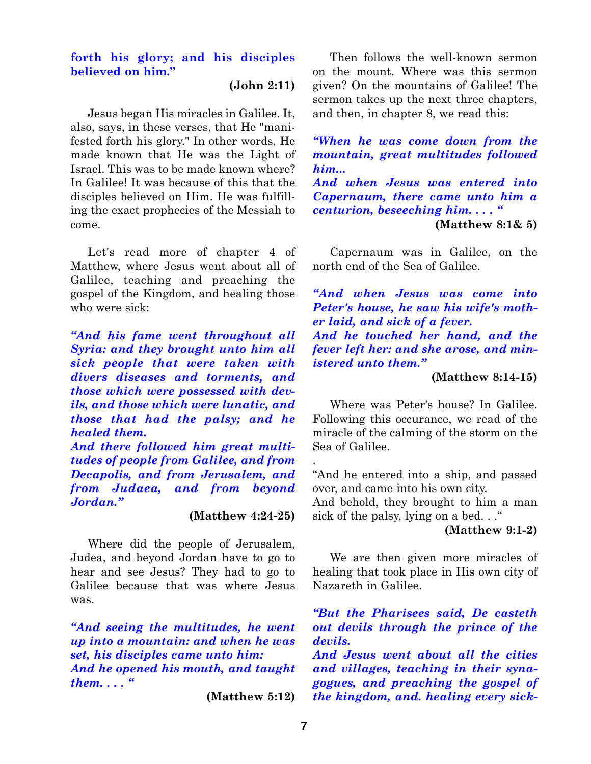## **forth his glory; and his disciples believed on him."**

**(John 2:11)**

Jesus began His miracles in Galilee. It, also, says, in these verses, that He "manifested forth his glory." In other words, He made known that He was the Light of Israel. This was to be made known where? In Galilee! It was because of this that the disciples believed on Him. He was fulfilling the exact prophecies of the Messiah to come.

Let's read more of chapter 4 of Matthew, where Jesus went about all of Galilee, teaching and preaching the gospel of the Kingdom, and healing those who were sick:

*"And his fame went throughout all Syria: and they brought unto him all sick people that were taken with divers diseases and torments, and those which were possessed with devils, and those which were lunatic, and those that had the palsy; and he healed them.*

*And there followed him great multitudes of people from Galilee, and from Decapolis, and from Jerusalem, and from Judaea, and from beyond Jordan."*

## **(Matthew 4:24-25)**

Where did the people of Jerusalem, Judea, and beyond Jordan have to go to hear and see Jesus? They had to go to Galilee because that was where Jesus was.

*"And seeing the multitudes, he went up into a mountain: and when he was set, his disciples came unto him: And he opened his mouth, and taught them. . . . "*

**(Matthew 5:12)**

Then follows the well-known sermon on the mount. Where was this sermon given? On the mountains of Galilee! The sermon takes up the next three chapters, and then, in chapter 8, we read this:

*"When he was come down from the mountain, great multitudes followed him... And when Jesus was entered into Capernaum, there came unto him a centurion, beseeching him. . . . "* **(Matthew 8:1& 5)**

Capernaum was in Galilee, on the north end of the Sea of Galilee.

*"And when Jesus was come into Peter's house, he saw his wife's mother laid, and sick of a fever. And he touched her hand, and the*

*fever left her: and she arose, and ministered unto them."*

#### **(Matthew 8:14-15)**

Where was Peter's house? In Galilee. Following this occurance, we read of the miracle of the calming of the storm on the Sea of Galilee.

"And he entered into a ship, and passed over, and came into his own city.

And behold, they brought to him a man sick of the palsy, lying on a bed..."

**(Matthew 9:1-2)**

We are then given more miracles of healing that took place in His own city of Nazareth in Galilee.

*"But the Pharisees said, De casteth out devils through the prince of the devils.*

*And Jesus went about all the cities and villages, teaching in their synagogues, and preaching the gospel of the kingdom, and. healing every sick-*

.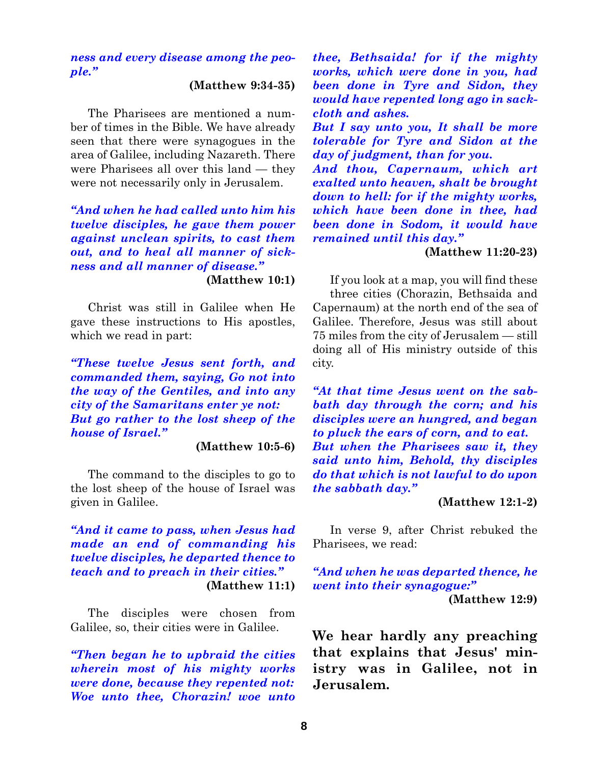## *ness and every disease among the people."*

#### **(Matthew 9:34-35)**

The Pharisees are mentioned a number of times in the Bible. We have already seen that there were synagogues in the area of Galilee, including Nazareth. There were Pharisees all over this land — they were not necessarily only in Jerusalem.

# *"And when he had called unto him his twelve disciples, he gave them power against unclean spirits, to cast them out, and to heal all manner of sickness and all manner of disease."*

**(Matthew 10:1)**

Christ was still in Galilee when He gave these instructions to His apostles, which we read in part:

*"These twelve Jesus sent forth, and commanded them, saying, Go not into the way of the Gentiles, and into any city of the Samaritans enter ye not: But go rather to the lost sheep of the house of Israel."*

## **(Matthew 10:5-6)**

The command to the disciples to go to the lost sheep of the house of Israel was given in Galilee.

*"And it came to pass, when Jesus had made an end of commanding his twelve disciples, he departed thence to teach and to preach in their cities."* **(Matthew 11:1)**

The disciples were chosen from Galilee, so, their cities were in Galilee.

*"Then began he to upbraid the cities wherein most of his mighty works were done, because they repented not: Woe unto thee, Chorazin! woe unto* *thee, Bethsaida! for if the mighty works, which were done in you, had been done in Tyre and Sidon, they would have repented long ago in sackcloth and ashes.*

*But I say unto you, It shall be more tolerable for Tyre and Sidon at the day of judgment, than for you.*

*And thou, Capernaum, which art exalted unto heaven, shalt be brought down to hell: for if the mighty works, which have been done in thee, had been done in Sodom, it would have remained until this day."*

#### **(Matthew 11:20-23)**

If you look at a map, you will find these three cities (Chorazin, Bethsaida and Capernaum) at the north end of the sea of Galilee. Therefore, Jesus was still about 75 miles from the city of Jerusalem — still doing all of His ministry outside of this city.

*"At that time Jesus went on the sabbath day through the corn; and his disciples were an hungred, and began to pluck the ears of corn, and to eat. But when the Pharisees saw it, they said unto him, Behold, thy disciples do that which is not lawful to do upon the sabbath day."*

#### **(Matthew 12:1-2)**

In verse 9, after Christ rebuked the Pharisees, we read:

*"And when he was departed thence, he went into their synagogue:"* **(Matthew 12:9)**

**We hear hardly any preaching that explains that Jesus' ministry was in Galilee, not in Jerusalem.**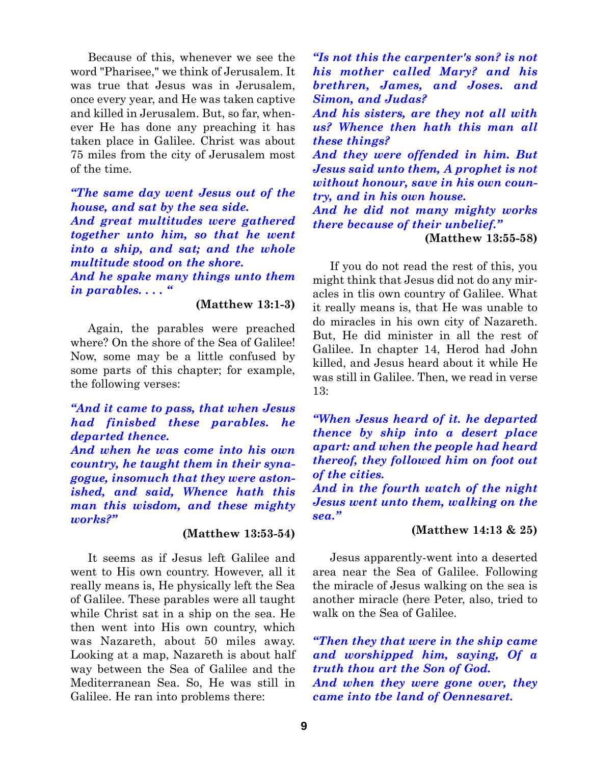Because of this, whenever we see the word "Pharisee," we think of Jerusalem. It was true that Jesus was in Jerusalem, once every year, and He was taken captive and killed in Jerusalem. But, so far, whenever He has done any preaching it has taken place in Galilee. Christ was about 75 miles from the city of Jerusalem most of the time.

*"The same day went Jesus out of the house, and sat by the sea side. And great multitudes were gathered together unto him, so that he went into a ship, and sat; and the whole multitude stood on the shore. And he spake many things unto them in parables. . . . "*

**(Matthew 13:1-3)**

Again, the parables were preached where? On the shore of the Sea of Galilee! Now, some may be a little confused by some parts of this chapter; for example, the following verses:

## *"And it came to pass, that when Jesus had finisbed these parables. he departed thence.*

*And when he was come into his own country, he taught them in their synagogue, insomuch that they were astonished, and said, Whence hath this man this wisdom, and these mighty works?"*

#### **(Matthew 13:53-54)**

It seems as if Jesus left Galilee and went to His own country. However, all it really means is, He physically left the Sea of Galilee. These parables were all taught while Christ sat in a ship on the sea. He then went into His own country, which was Nazareth, about 50 miles away. Looking at a map, Nazareth is about half way between the Sea of Galilee and the Mediterranean Sea. So, He was still in Galilee. He ran into problems there:

*"Is not this the carpenter's son? is not his mother called Mary? and his brethren, James, and Joses. and Simon, and Judas?* 

*And his sisters, are they not all with us? Whence then hath this man all these things?*

*And they were offended in him. But Jesus said unto them, A prophet is not without honour, save in his own country, and in his own house.*

*And he did not many mighty works there because of their unbelief."*

**(Matthew 13:55-58)**

If you do not read the rest of this, you might think that Jesus did not do any miracles in tlis own country of Galilee. What it really means is, that He was unable to do miracles in his own city of Nazareth. But, He did minister in all the rest of Galilee. In chapter 14, Herod had John killed, and Jesus heard about it while He was still in Galilee. Then, we read in verse 13:

*"When Jesus heard of it. he departed thence by ship into a desert place apart: and when the people had heard thereof, they followed him on foot out of the cities.*

*And in the fourth watch of the night Jesus went unto them, walking on the sea."*

## **(Matthew 14:13 & 25)**

Jesus apparently-went into a deserted area near the Sea of Galilee. Following the miracle of Jesus walking on the sea is another miracle (here Peter, also, tried to walk on the Sea of Galilee.

*"Then they that were in the ship came and worshipped him, saying, Of a truth thou art the Son of God. And when they were gone over, they came into tbe land of Oennesaret.*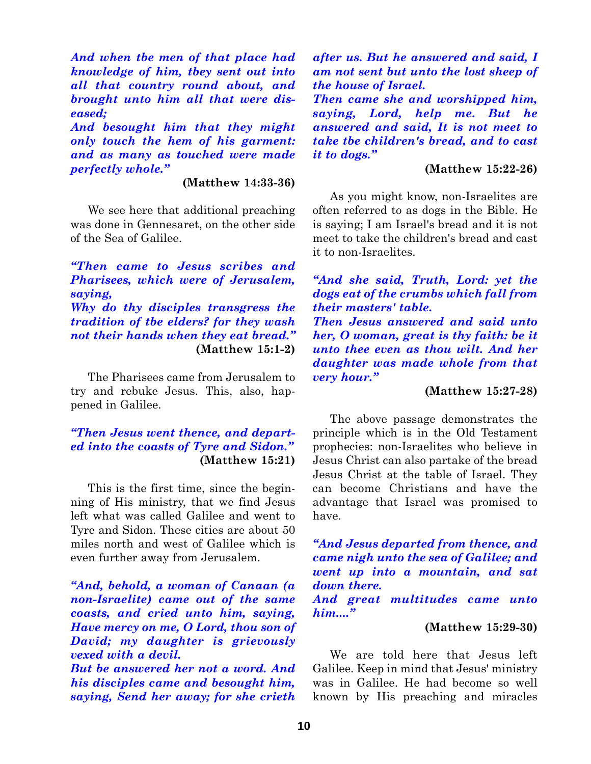*And when tbe men of that place had knowledge of him, tbey sent out into all that country round about, and brought unto him all that were diseased;*

*And besought him that they might only touch the hem of his garment: and as many as touched were made perfectly whole."*

#### **(Matthew 14:33-36)**

We see here that additional preaching was done in Gennesaret, on the other side of the Sea of Galilee.

*"Then came to Jesus scribes and Pharisees, which were of Jerusalem, saying, Why do thy disciples transgress the tradition of tbe elders? for they wash not their hands when they eat bread."* **(Matthew 15:1-2)**

The Pharisees came from Jerusalem to try and rebuke Jesus. This, also, happened in Galilee.

## *"Then Jesus went thence, and departed into the coasts of Tyre and Sidon."* **(Matthew 15:21)**

This is the first time, since the beginning of His ministry, that we find Jesus left what was called Galilee and went to Tyre and Sidon. These cities are about 50 miles north and west of Galilee which is even further away from Jerusalem.

*"And, behold, a woman of Canaan (a non-Israelite) came out of the same coasts, and cried unto him, saying, Have mercy on me, O Lord, thou son of David; my daughter is grievously vexed with a devil.*

*But be answered her not a word. And his disciples came and besought him, saying, Send her away; for she crieth* *after us. But he answered and said, I am not sent but unto the lost sheep of the house of Israel.*

*Then came she and worshipped him, saying, Lord, help me. But he answered and said, It is not meet to take tbe children's bread, and to cast it to dogs."*

## **(Matthew 15:22-26)**

As you might know, non-Israelites are often referred to as dogs in the Bible. He is saying; I am Israel's bread and it is not meet to take the children's bread and cast it to non-Israelites.

*"And she said, Truth, Lord: yet the dogs eat of the crumbs which fall from their masters' table. Then Jesus answered and said unto*

*her, O woman, great is thy faith: be it unto thee even as thou wilt. And her daughter was made whole from that very hour."*

#### **(Matthew 15:27-28)**

The above passage demonstrates the principle which is in the Old Testament prophecies: non-Israelites who believe in Jesus Christ can also partake of the bread Jesus Christ at the table of Israel. They can become Christians and have the advantage that Israel was promised to have.

*"And Jesus departed from thence, and came nigh unto the sea of Galilee; and went up into a mountain, and sat down there.*

*And great multitudes came unto him...."*

#### **(Matthew 15:29-30)**

We are told here that Jesus left Galilee. Keep in mind that Jesus' ministry was in Galilee. He had become so well known by His preaching and miracles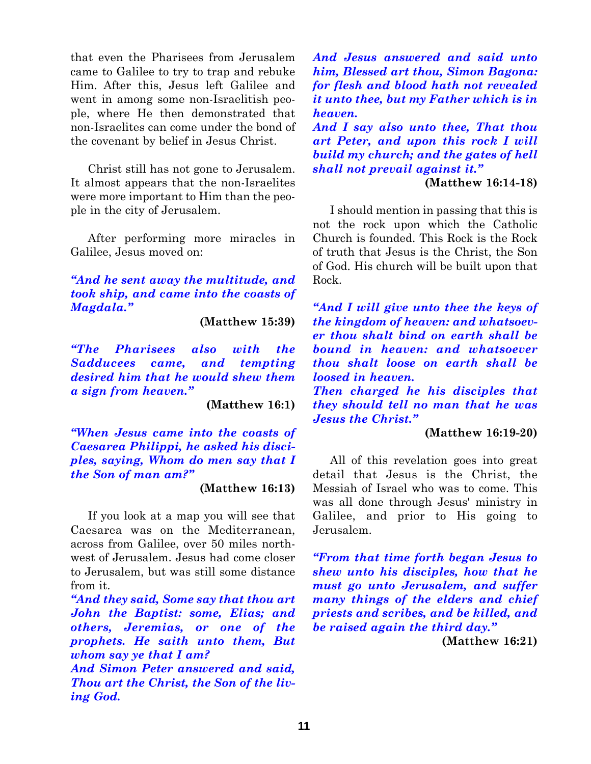that even the Pharisees from Jerusalem came to Galilee to try to trap and rebuke Him. After this, Jesus left Galilee and went in among some non-Israelitish people, where He then demonstrated that non-Israelites can come under the bond of the covenant by belief in Jesus Christ.

Christ still has not gone to Jerusalem. It almost appears that the non-Israelites were more important to Him than the people in the city of Jerusalem.

After performing more miracles in Galilee, Jesus moved on:

*"And he sent away the multitude, and took ship, and came into the coasts of Magdala."*

**(Matthew 15:39)**

*"The Pharisees also with the Sadducees came, and tempting desired him that he would shew them a sign from heaven."*

**(Matthew 16:1)**

*"When Jesus came into the coasts of Caesarea Philippi, he asked his disciples, saying, Whom do men say that I the Son of man am?"*

**(Matthew 16:13)**

If you look at a map you will see that Caesarea was on the Mediterranean, across from Galilee, over 50 miles northwest of Jerusalem. Jesus had come closer to Jerusalem, but was still some distance from it.

*"And they said, Some say that thou art John the Baptist: some, Elias; and others, Jeremias, or one of the prophets. He saith unto them, But whom say ye that I am?*

*And Simon Peter answered and said, Thou art the Christ, the Son of the living God.*

*And Jesus answered and said unto him, Blessed art thou, Simon Bagona: for flesh and blood hath not revealed it unto thee, but my Father which is in heaven.*

*And I say also unto thee, That thou art Peter, and upon this rock I will build my church; and the gates of hell shall not prevail against it."*

**(Matthew 16:14-18)**

I should mention in passing that this is not the rock upon which the Catholic Church is founded. This Rock is the Rock of truth that Jesus is the Christ, the Son of God. His church will be built upon that Rock.

*"And I will give unto thee the keys of the kingdom of heaven: and whatsoever thou shalt bind on earth shall be bound in heaven: and whatsoever thou shalt loose on earth shall be loosed in heaven.*

*Then charged he his disciples that they should tell no man that he was Jesus the Christ."*

## **(Matthew 16:19-20)**

All of this revelation goes into great detail that Jesus is the Christ, the Messiah of Israel who was to come. This was all done through Jesus' ministry in Galilee, and prior to His going to Jerusalem.

*"From that time forth began Jesus to shew unto his disciples, how that he must go unto Jerusalem, and suffer many things of the elders and chief priests and scribes, and be killed, and be raised again the third day."*

**(Matthew 16:21)**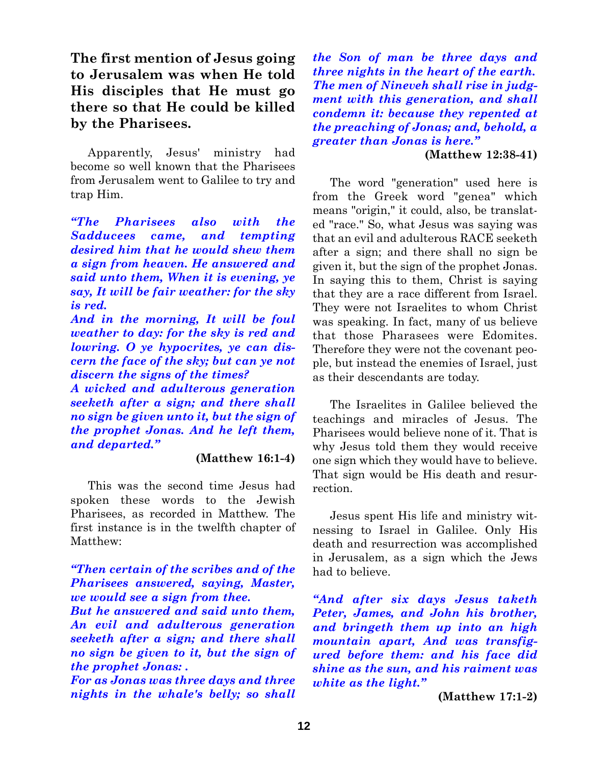**The first mention of Jesus going to Jerusalem was when He told His disciples that He must go there so that He could be killed by the Pharisees.**

Apparently, Jesus' ministry had become so well known that the Pharisees from Jerusalem went to Galilee to try and trap Him.

*"The Pharisees also with the Sadducees came, and tempting desired him that he would shew them a sign from heaven. He answered and said unto them, When it is evening, ye say, It will be fair weather: for the sky is red.*

*And in the morning, It will be foul weather to day: for the sky is red and lowring. O ye hypocrites, ye can discern the face of the sky; but can ye not discern the signs of the times?*

*A wicked and adulterous generation seeketh after a sign; and there shall no sign be given unto it, but the sign of the prophet Jonas. And he left them, and departed."*

#### **(Matthew 16:1-4)**

This was the second time Jesus had spoken these words to the Jewish Pharisees, as recorded in Matthew. The first instance is in the twelfth chapter of Matthew:

*"Then certain of the scribes and of the Pharisees answered, saying, Master, we would see a sign from thee. But he answered and said unto them, An evil and adulterous generation seeketh after a sign; and there shall no sign be given to it, but the sign of*

*the prophet Jonas: . For as Jonas was three days and three nights in the whale's belly; so shall*

*the Son of man be three days and three nights in the heart of the earth. The men of Nineveh shall rise in judgment with this generation, and shall condemn it: because they repented at the preaching of Jonas; and, behold, a greater than Jonas is here."*

## **(Matthew 12:38-41)**

The word "generation" used here is from the Greek word "genea" which means "origin," it could, also, be translated "race." So, what Jesus was saying was that an evil and adulterous RACE seeketh after a sign; and there shall no sign be given it, but the sign of the prophet Jonas. In saying this to them, Christ is saying that they are a race different from Israel. They were not Israelites to whom Christ was speaking. In fact, many of us believe that those Pharasees were Edomites. Therefore they were not the covenant people, but instead the enemies of Israel, just as their descendants are today.

The Israelites in Galilee believed the teachings and miracles of Jesus. The Pharisees would believe none of it. That is why Jesus told them they would receive one sign which they would have to believe. That sign would be His death and resurrection.

Jesus spent His life and ministry witnessing to Israel in Galilee. Only His death and resurrection was accomplished in Jerusalem, as a sign which the Jews had to believe.

*"And after six days Jesus taketh Peter, James, and John his brother, and bringeth them up into an high mountain apart, And was transfigured before them: and his face did shine as the sun, and his raiment was white as the light."*

**(Matthew 17:1-2)**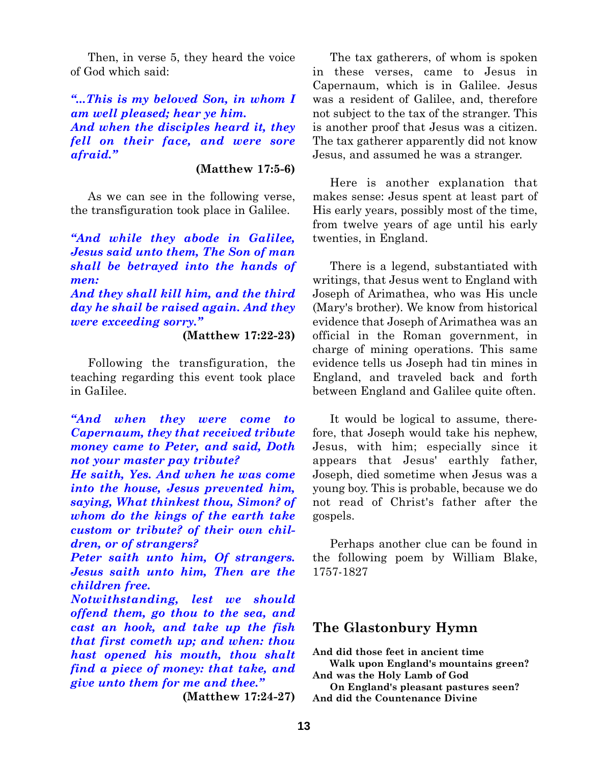Then, in verse 5, they heard the voice of God which said:

*"...This is my beloved Son, in whom I am well pleased; hear ye him. And when the disciples heard it, they fell on their face, and were sore afraid."*

## **(Matthew 17:5-6)**

As we can see in the following verse, the transfiguration took place in Galilee.

*"And while they abode in Galilee, Jesus said unto them, The Son of man shall be betrayed into the hands of men:*

*And they shall kill him, and the third day he shail be raised again. And they were exceeding sorry."*

#### **(Matthew 17:22-23)**

Following the transfiguration, the teaching regarding this event took place in GaIilee.

*"And when they were come to Capernaum, they that received tribute money came to Peter, and said, Doth not your master pay tribute?*

*He saith, Yes. And when he was come into the house, Jesus prevented him, saying, What thinkest thou, Simon? of whom do the kings of the earth take custom or tribute? of their own children, or of strangers?*

*Peter saith unto him, Of strangers. Jesus saith unto him, Then are the children free.*

*Notwithstanding, lest we should offend them, go thou to the sea, and cast an hook, and take up the fish that first cometh up; and when: thou hast opened his mouth, thou shalt find a piece of money: that take, and give unto them for me and thee."*

**(Matthew 17:24-27)**

The tax gatherers, of whom is spoken in these verses, came to Jesus in Capernaum, which is in Galilee. Jesus was a resident of Galilee, and, therefore not subject to the tax of the stranger. This is another proof that Jesus was a citizen. The tax gatherer apparently did not know Jesus, and assumed he was a stranger.

Here is another explanation that makes sense: Jesus spent at least part of His early years, possibly most of the time, from twelve years of age until his early twenties, in England.

There is a legend, substantiated with writings, that Jesus went to England with Joseph of Arimathea, who was His uncle (Mary's brother). We know from historical evidence that Joseph of Arimathea was an official in the Roman government, in charge of mining operations. This same evidence tells us Joseph had tin mines in England, and traveled back and forth between England and Galilee quite often.

It would be logical to assume, therefore, that Joseph would take his nephew, Jesus, with him; especially since it appears that Jesus' earthly father, Joseph, died sometime when Jesus was a young boy. This is probable, because we do not read of Christ's father after the gospels.

Perhaps another clue can be found in the following poem by William Blake, 1757-1827

# **The Glastonbury Hymn**

**And did those feet in ancient time Walk upon England's mountains green?**

**And was the Holy Lamb of God**

**On England's pleasant pastures seen? And did the Countenance Divine**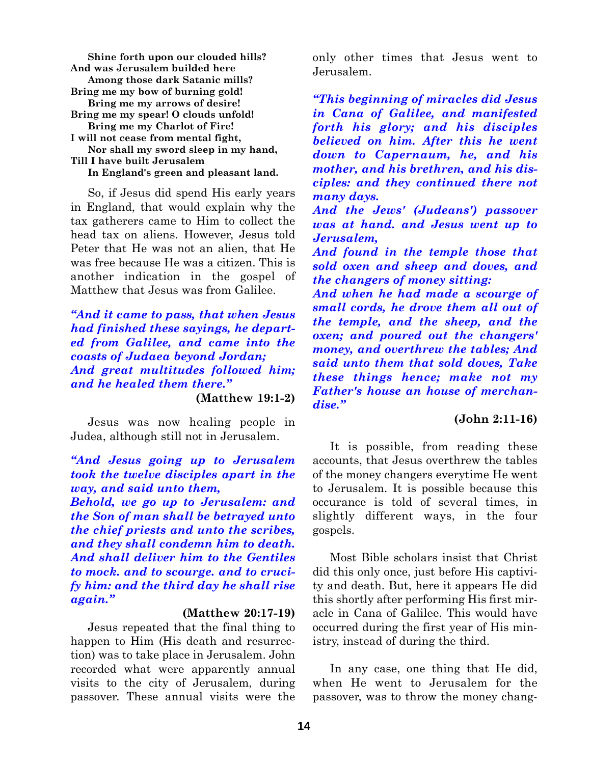**Shine forth upon our clouded hills? And was Jerusalem builded here Among those dark Satanic mills? Bring me my bow of burning gold! Bring me my arrows of desire! Bring me my spear! O clouds unfold! Bring me my Charlot of Fire! I will not cease from mental fight, Nor shall my sword sleep in my hand, Till I have built Jerusalem In England's green and pleasant land.**

So, if Jesus did spend His early years in England, that would explain why the tax gatherers came to Him to collect the head tax on aliens. However, Jesus told Peter that He was not an alien, that He was free because He was a citizen. This is another indication in the gospel of Matthew that Jesus was from Galilee.

*"And it came to pass, that when Jesus had finished these sayings, he departed from Galilee, and came into the coasts of Judaea beyond Jordan; And great multitudes followed him; and he healed them there."*

**(Matthew 19:1-2)**

Jesus was now healing people in Judea, although still not in Jerusalem.

*"And Jesus going up to Jerusalem took the twelve disciples apart in the way, and said unto them,*

*Behold, we go up to Jerusalem: and the Son of man shall be betrayed unto the chief priests and unto the scribes, and they shall condemn him to death. And shall deliver him to the Gentiles to mock. and to scourge. and to crucify him: and the third day he shall rise again."*

#### **(Matthew 20:17-19)**

Jesus repeated that the final thing to happen to Him (His death and resurrection) was to take place in Jerusalem. John recorded what were apparently annual visits to the city of Jerusalem, during passover. These annual visits were the

only other times that Jesus went to Jerusalem.

*"This beginning of miracles did Jesus in Cana of Galilee, and manifested forth his glory; and his disciples believed on him. After this he went down to Capernaum, he, and his mother, and his brethren, and his disciples: and they continued there not many days.*

*And the Jews' (Judeans') passover was at hand. and Jesus went up to Jerusalem,*

*And found in the temple those that sold oxen and sheep and doves, and the changers of money sitting:*

*And when he had made a scourge of small cords, he drove them all out of the temple, and the sheep, and the oxen; and poured out the changers' money, and overthrew the tables; And said unto them that sold doves, Take these things hence; make not my Father's house an house of merchandise."*

## **(John 2:11-16)**

It is possible, from reading these accounts, that Jesus overthrew the tables of the money changers everytime He went to Jerusalem. It is possible because this occurance is told of several times, in slightly different ways, in the four gospels.

Most Bible scholars insist that Christ did this only once, just before His captivity and death. But, here it appears He did this shortly after performing His first miracle in Cana of Galilee. This would have occurred during the first year of His ministry, instead of during the third.

In any case, one thing that He did, when He went to Jerusalem for the passover, was to throw the money chang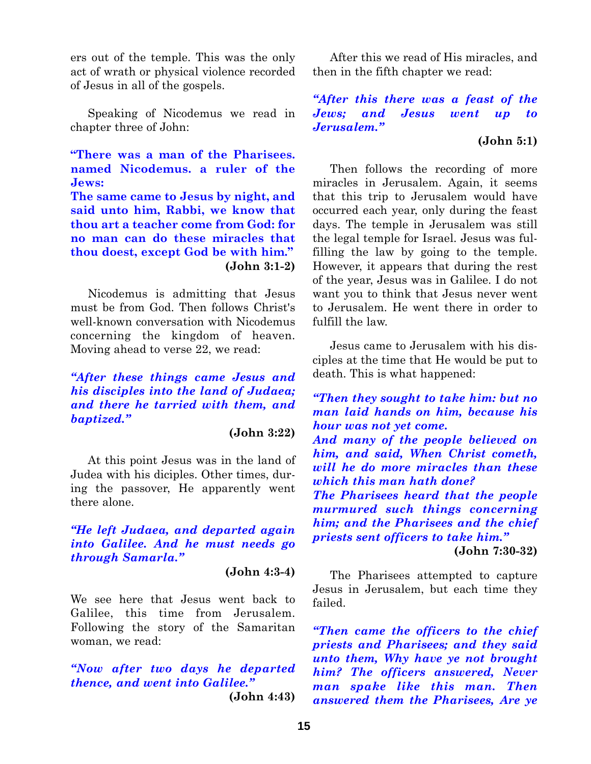ers out of the temple. This was the only act of wrath or physical violence recorded of Jesus in all of the gospels.

Speaking of Nicodemus we read in chapter three of John:

**"There was a man of the Pharisees. named Nicodemus. a ruler of the Jews:**

**The same came to Jesus by night, and said unto him, Rabbi, we know that thou art a teacher come from God: for no man can do these miracles that thou doest, except God be with him." (John 3:1-2)**

Nicodemus is admitting that Jesus must be from God. Then follows Christ's well-known conversation with Nicodemus concerning the kingdom of heaven. Moving ahead to verse 22, we read:

*"After these things came Jesus and his disciples into the land of Judaea; and there he tarried with them, and baptized."*

#### **(John 3:22)**

At this point Jesus was in the land of Judea with his diciples. Other times, during the passover, He apparently went there alone.

## *"He left Judaea, and departed again into Galilee. And he must needs go through Samarla."*

#### **(John 4:3-4)**

We see here that Jesus went back to Galilee, this time from Jerusalem. Following the story of the Samaritan woman, we read:

*"Now after two days he departed thence, and went into Galilee."*

**(John 4:43)**

After this we read of His miracles, and then in the fifth chapter we read:

*"After this there was a feast of the Jews; and Jesus went up to Jerusalem."*

#### **(John 5:1)**

Then follows the recording of more miracles in Jerusalem. Again, it seems that this trip to Jerusalem would have occurred each year, only during the feast days. The temple in Jerusalem was still the legal temple for Israel. Jesus was fulfilling the law by going to the temple. However, it appears that during the rest of the year, Jesus was in Galilee. I do not want you to think that Jesus never went to Jerusalem. He went there in order to fulfill the law.

Jesus came to Jerusalem with his disciples at the time that He would be put to death. This is what happened:

*"Then they sought to take him: but no man laid hands on him, because his hour was not yet come.*

*And many of the people believed on him, and said, When Christ cometh, will he do more miracles than these which this man hath done?*

*The Pharisees heard that the people murmured such things concerning him; and the Pharisees and the chief priests sent officers to take him."*

**(John 7:30-32)**

The Pharisees attempted to capture Jesus in Jerusalem, but each time they failed.

*"Then came the officers to the chief priests and Pharisees; and they said unto them, Why have ye not brought him? The officers answered, Never man spake like this man. Then answered them the Pharisees, Are ye*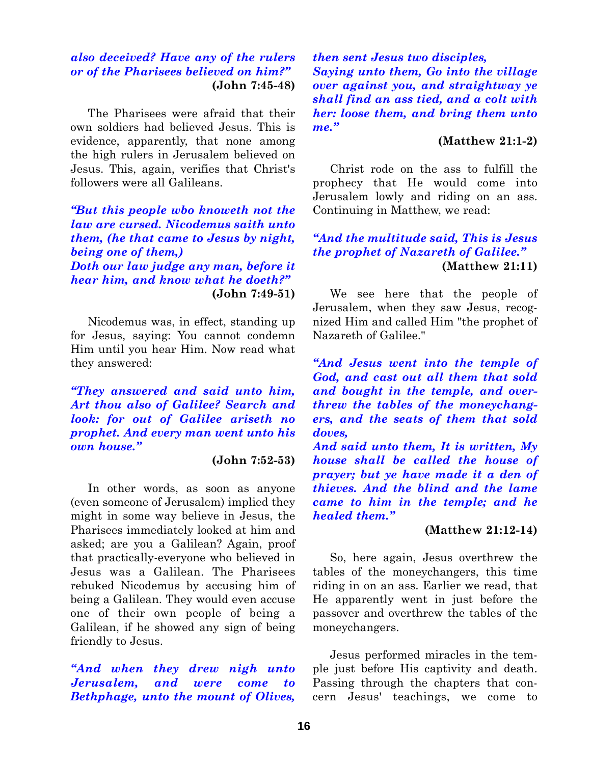## *also deceived? Have any of the rulers or of the Pharisees believed on him?"* **(John 7:45-48)**

The Pharisees were afraid that their own soldiers had believed Jesus. This is evidence, apparently, that none among the high rulers in Jerusalem believed on Jesus. This, again, verifies that Christ's followers were all Galileans.

*"But this people wbo knoweth not the law are cursed. Nicodemus saith unto them, (he that came to Jesus by night, being one of them,) Doth our law judge any man, before it hear him, and know what he doeth?"* **(John 7:49-51)**

Nicodemus was, in effect, standing up for Jesus, saying: You cannot condemn Him until you hear Him. Now read what they answered:

*"They answered and said unto him, Art thou also of Galilee? Search and look: for out of Galilee ariseth no prophet. And every man went unto his own house."*

#### **(John 7:52-53)**

In other words, as soon as anyone (even someone of Jerusalem) implied they might in some way believe in Jesus, the Pharisees immediately looked at him and asked; are you a Galilean? Again, proof that practically-everyone who believed in Jesus was a Galilean. The Pharisees rebuked Nicodemus by accusing him of being a Galilean. They would even accuse one of their own people of being a Galilean, if he showed any sign of being friendly to Jesus.

*"And when they drew nigh unto Jerusalem, and were come to Bethphage, unto the mount of Olives,*

*then sent Jesus two disciples, Saying unto them, Go into the village over against you, and straightway ye shall find an ass tied, and a colt with her: loose them, and bring them unto me."*

## **(Matthew 21:1-2)**

Christ rode on the ass to fulfill the prophecy that He would come into Jerusalem lowly and riding on an ass. Continuing in Matthew, we read:

## *"And the multitude said, This is Jesus the prophet of Nazareth of Galilee."* **(Matthew 21:11)**

We see here that the people of Jerusalem, when they saw Jesus, recognized Him and called Him "the prophet of Nazareth of Galilee."

*"And Jesus went into the temple of God, and cast out all them that sold and bought in the temple, and overthrew the tables of the moneychangers, and the seats of them that sold doves,*

*And said unto them, It is written, My house shall be called the house of prayer; but ye have made it a den of thieves. And the blind and the lame came to him in the temple; and he healed them."*

#### **(Matthew 21:12-14)**

So, here again, Jesus overthrew the tables of the moneychangers, this time riding in on an ass. Earlier we read, that He apparently went in just before the passover and overthrew the tables of the moneychangers.

Jesus performed miracles in the temple just before His captivity and death. Passing through the chapters that concern Jesus' teachings, we come to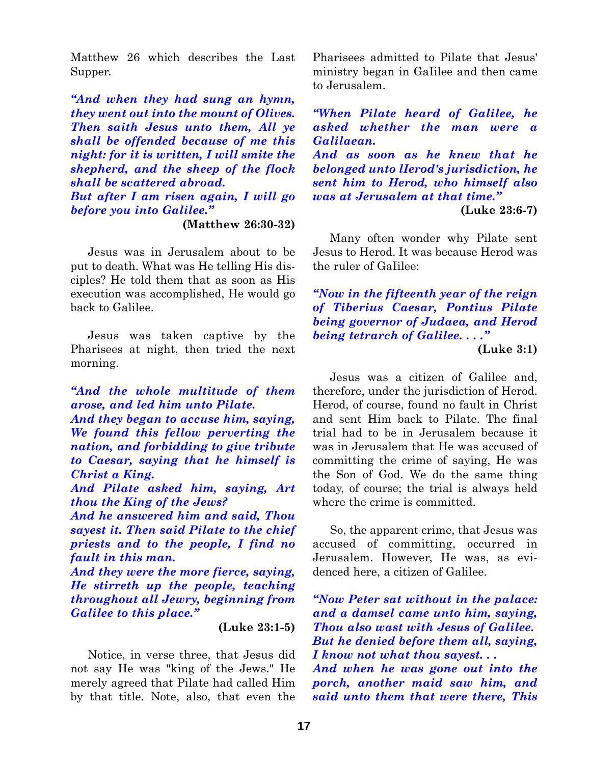Matthew 26 which describes the Last Supper.

*"And when they had sung an hymn, they went out into the mount of Olives. Then saith Jesus unto them, All ye shall be offended because of me this night: for it is written, I will smite the shepherd, and the sheep of the flock shall be scattered abroad. But after I am risen again, I will go before you into Galilee."*

**(Matthew 26:30-32)**

Jesus was in Jerusalem about to be put to death. What was He telling His disciples? He told them that as soon as His execution was accomplished, He would go back to Galilee.

Jesus was taken captive by the Pharisees at night, then tried the next morning.

*"And the whole multitude of them arose, and led him unto Pilate.*

*And they began to accuse him, saying, We found this fellow perverting the nation, and forbidding to give tribute to Caesar, saying that he himself is Christ a King.*

*And Pilate asked him, saying, Art thou the King of the Jews?*

*And he answered him and said, Thou sayest it. Then said Pilate to the chief priests and to the people, I find no fault in this man.*

*And they were the more fierce, saying, He stirreth up the people, teaching throughout all Jewry, beginning from Galilee to this place."*

**(Luke 23:1-5)**

Notice, in verse three, that Jesus did not say He was "king of the Jews." He merely agreed that Pilate had called Him by that title. Note, also, that even the Pharisees admitted to Pilate that Jesus' ministry began in GaIilee and then came to Jerusalem.

*"When Pilate heard of Galilee, he asked whether the man were a Galilaean. And as soon as he knew that he belonged unto lIerod's jurisdiction, he sent him to Herod, who himself also was at Jerusalem at that time."* **(Luke 23:6-7)**

Many often wonder why Pilate sent Jesus to Herod. It was because Herod was the ruler of GaIilee:

*"Now in the fifteenth year of the reign of Tiberius Caesar, Pontius Pilate being governor of Judaea, and Herod being tetrarch of Galilee. . . ."*

**(Luke 3:1)**

Jesus was a citizen of Galilee and, therefore, under the jurisdiction of Herod. Herod, of course, found no fault in Christ and sent Him back to Pilate. The final trial had to be in Jerusalem because it was in Jerusalem that He was accused of committing the crime of saying, He was the Son of God. We do the same thing today, of course; the trial is always held where the crime is committed.

So, the apparent crime, that Jesus was accused of committing, occurred in Jerusalem. However, He was, as evidenced here, a citizen of Galilee.

*"Now Peter sat without in the palace: and a damsel came unto him, saying, Thou also wast with Jesus of Galilee. But he denied before them all, saying, I know not what thou sayest. . .*

*And when he was gone out into the porch, another maid saw him, and said unto them that were there, This*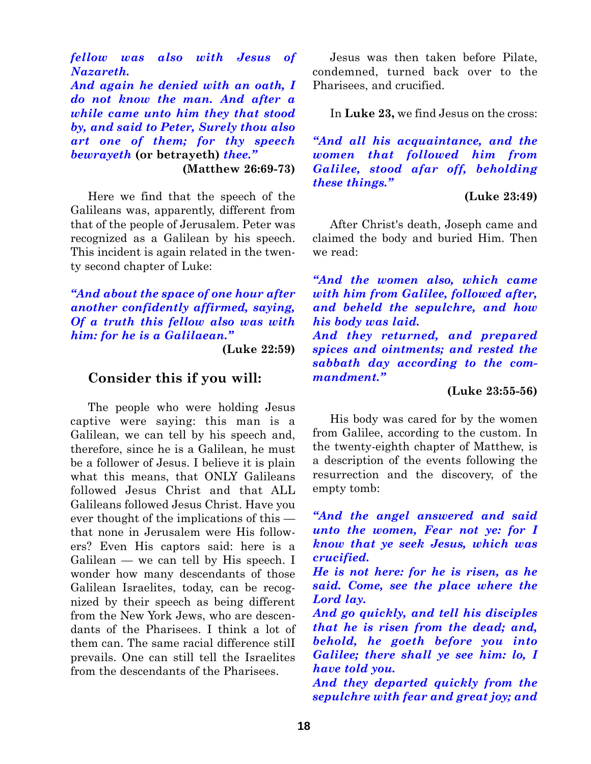*fellow was also with Jesus of Nazareth.*

*And again he denied with an oath, I do not know the man. And after a while came unto him they that stood by, and said to Peter, Surely thou also art one of them; for thy speech bewrayeth* **(or betrayeth)** *thee."* **(Matthew 26:69-73)**

Here we find that the speech of the Galileans was, apparently, different from that of the people of Jerusalem. Peter was recognized as a Galilean by his speech. This incident is again related in the twenty second chapter of Luke:

*"And about the space of one hour after another confidently affirmed, saying, Of a truth this fellow also was with him: for he is a Galilaean."*

**(Luke 22:59)**

## **Consider this if you will:**

The people who were holding Jesus captive were saying: this man is a Galilean, we can tell by his speech and, therefore, since he is a Galilean, he must be a follower of Jesus. I believe it is plain what this means, that ONLY Galileans followed Jesus Christ and that ALL Galileans followed Jesus Christ. Have you ever thought of the implications of this that none in Jerusalem were His followers? Even His captors said: here is a Galilean — we can tell by His speech. I wonder how many descendants of those Galilean Israelites, today, can be recognized by their speech as being different from the New York Jews, who are descendants of the Pharisees. I think a lot of them can. The same racial difference stilI prevails. One can still tell the Israelites from the descendants of the Pharisees.

Jesus was then taken before Pilate, condemned, turned back over to the Pharisees, and crucified.

In **Luke 23,** we find Jesus on the cross:

*"And all his acquaintance, and the women that followed him from Galilee, stood afar off, beholding these things."*

# **(Luke 23:49)**

After Christ's death, Joseph came and claimed the body and buried Him. Then we read:

*"And the women also, which came with him from Galilee, followed after, and beheld the sepulchre, and how his body was laid.*

*And they returned, and prepared spices and ointments; and rested the sabbath day according to the commandment."*

# **(Luke 23:55-56)**

His body was cared for by the women from Galilee, according to the custom. In the twenty-eighth chapter of Matthew, is a description of the events following the resurrection and the discovery, of the empty tomb:

*"And the angel answered and said unto the women, Fear not ye: for I know that ye seek Jesus, which was crucified.*

*He is not here: for he is risen, as he said. Come, see the place where the Lord lay.*

*And go quickly, and tell his disciples that he is risen from the dead; and, behold, he goeth before you into Galilee; there shall ye see him: lo, I have told you.*

*And they departed quickly from the sepulchre with fear and great joy; and*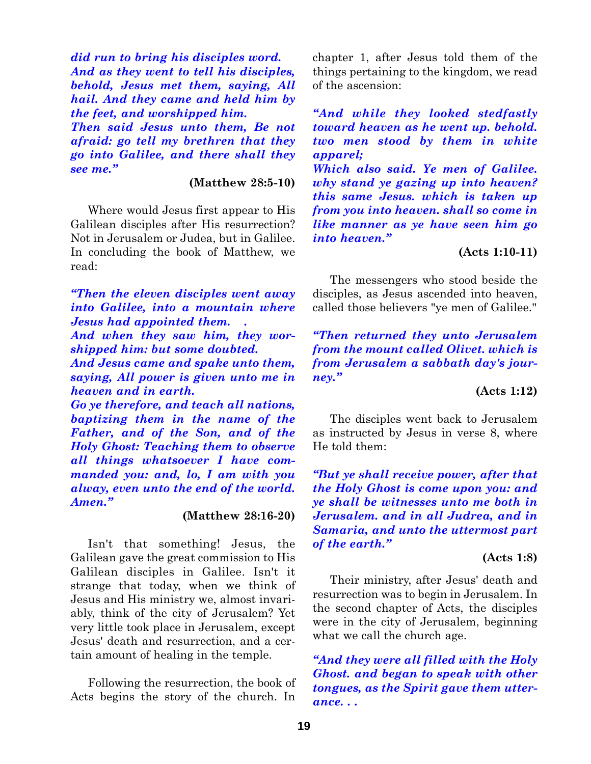*did run to bring his disciples word. And as they went to tell his disciples, behold, Jesus met them, saying, All hail. And they came and held him by the feet, and worshipped him.*

*Then said Jesus unto them, Be not afraid: go tell my brethren that they go into Galilee, and there shall they see me."*

**(Matthew 28:5-10)**

Where would Jesus first appear to His Galilean disciples after His resurrection? Not in Jerusalem or Judea, but in Galilee. In concluding the book of Matthew, we read:

*"Then the eleven disciples went away into Galilee, into a mountain where Jesus had appointed them. .*

*And when they saw him, they worshipped him: but some doubted.*

*And Jesus came and spake unto them, saying, All power is given unto me in heaven and in earth.*

*Go ye therefore, and teach all nations, baptizing them in the name of the Father, and of the Son, and of the Holy Ghost: Teaching them to observe all things whatsoever I have commanded you: and, lo, I am with you alway, even unto the end of the world. Amen."*

## **(Matthew 28:16-20)**

Isn't that something! Jesus, the Galilean gave the great commission to His Galilean disciples in Galilee. Isn't it strange that today, when we think of Jesus and His ministry we, almost invariably, think of the city of Jerusalem? Yet very little took place in Jerusalem, except Jesus' death and resurrection, and a certain amount of healing in the temple.

Following the resurrection, the book of Acts begins the story of the church. In chapter 1, after Jesus told them of the things pertaining to the kingdom, we read of the ascension:

*"And while they looked stedfastly toward heaven as he went up. behold. two men stood by them in white apparel;*

*Which also said. Ye men of Galilee. why stand ye gazing up into heaven? this same Jesus. which is taken up from you into heaven. shall so come in like manner as ye have seen him go into heaven."*

## **(Acts 1:10-11)**

The messengers who stood beside the disciples, as Jesus ascended into heaven, called those believers "ye men of Galilee."

*"Then returned they unto Jerusalem from the mount called Olivet. which is from Jerusalem a sabbath day's journey."*

## **(Acts 1:12)**

The disciples went back to Jerusalem as instructed by Jesus in verse 8, where He told them:

*"But ye shall receive power, after that the Holy Ghost is come upon you: and ye shall be witnesses unto me both in Jerusalem. and in all Judrea, and in Samaria, and unto the uttermost part of the earth."*

## **(Acts 1:8)**

Their ministry, after Jesus' death and resurrection was to begin in Jerusalem. In the second chapter of Acts, the disciples were in the city of Jerusalem, beginning what we call the church age.

*"And they were all filled with the Holy Ghost. and began to speak with other tongues, as the Spirit gave them utterance. . .*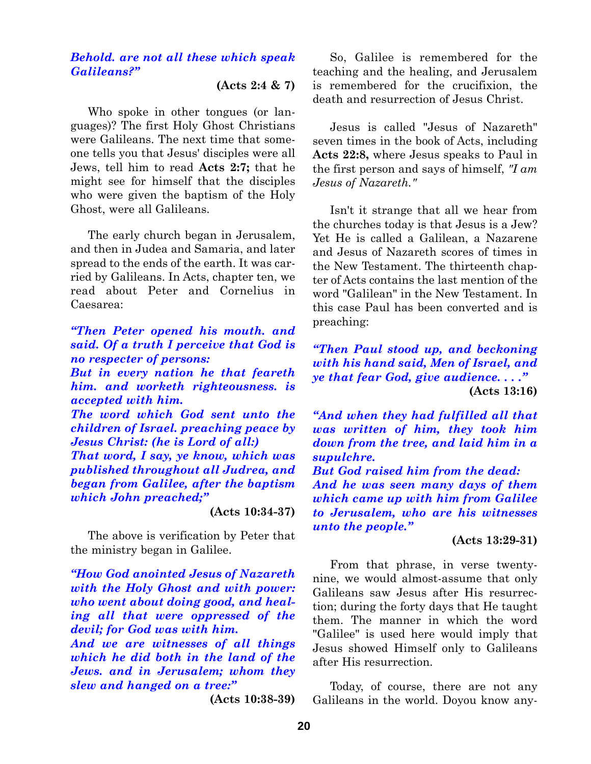## *Behold. are not all these which speak Galileans?"*

**(Acts 2:4 & 7)**

Who spoke in other tongues (or languages)? The first Holy Ghost Christians were Galileans. The next time that someone tells you that Jesus' disciples were all Jews, tell him to read **Acts 2:7;** that he might see for himself that the disciples who were given the baptism of the Holy Ghost, were all Galileans.

The early church began in Jerusalem, and then in Judea and Samaria, and later spread to the ends of the earth. It was carried by Galileans. In Acts, chapter ten, we read about Peter and Cornelius in Caesarea:

# *"Then Peter opened his mouth. and said. Of a truth I perceive that God is no respecter of persons:*

*But in every nation he that feareth him. and worketh righteousness. is accepted with him.*

*The word which God sent unto the children of Israel. preaching peace by Jesus Christ: (he is Lord of all:)*

*That word, I say, ye know, which was published throughout all Judrea, and began from Galilee, after the baptism which John preached;"*

#### **(Acts 10:34-37)**

The above is verification by Peter that the ministry began in Galilee.

*"How God anointed Jesus of Nazareth with the Holy Ghost and with power: who went about doing good, and healing all that were oppressed of the devil; for God was with him.*

*And we are witnesses of all things which he did both in the land of the Jews. and in Jerusalem; whom they slew and hanged on a tree:"*

**(Acts 10:38-39)**

So, Galilee is remembered for the teaching and the healing, and Jerusalem is remembered for the crucifixion, the death and resurrection of Jesus Christ.

Jesus is called "Jesus of Nazareth" seven times in the book of Acts, including **Acts 22:8,** where Jesus speaks to Paul in the first person and says of himself, *"I am Jesus of Nazareth."*

Isn't it strange that all we hear from the churches today is that Jesus is a Jew? Yet He is called a Galilean, a Nazarene and Jesus of Nazareth scores of times in the New Testament. The thirteenth chapter of Acts contains the last mention of the word "Galilean" in the New Testament. In this case Paul has been converted and is preaching:

*"Then Paul stood up, and beckoning with his hand said, Men of Israel, and ye that fear God, give audience. . . ."* **(Acts 13:16)**

*"And when they had fulfilled all that was written of him, they took him down from the tree, and laid him in a supulchre.*

*But God raised him from the dead: And he was seen many days of them which came up with him from Galilee to Jerusalem, who are his witnesses unto the people."*

#### **(Acts 13:29-31)**

From that phrase, in verse twentynine, we would almost-assume that only Galileans saw Jesus after His resurrection; during the forty days that He taught them. The manner in which the word "Galilee" is used here would imply that Jesus showed Himself only to Galileans after His resurrection.

Today, of course, there are not any Galileans in the world. Doyou know any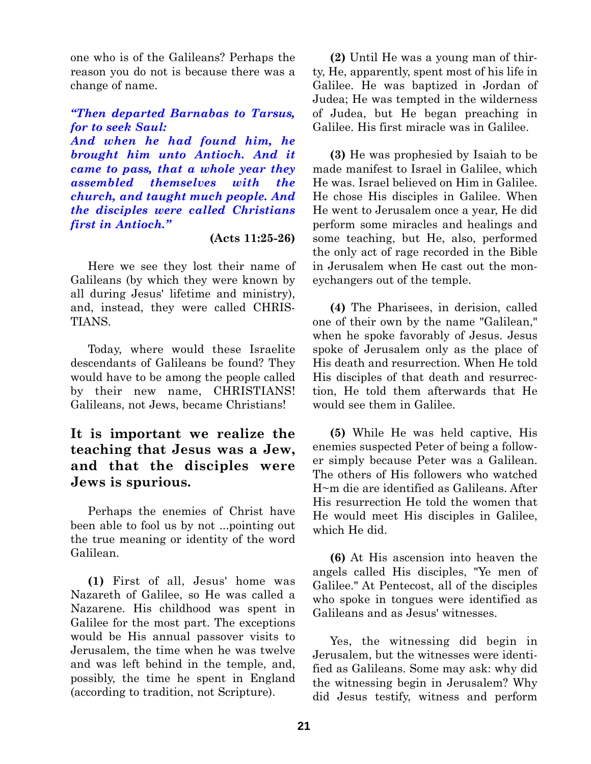one who is of the Galileans? Perhaps the reason you do not is because there was a change of name.

*"Then departed Barnabas to Tarsus, for to seek Saul: And when he had found him, he brought him unto Antioch. And it came to pass, that a whole year they assembled themselves with the church, and taught much people. And the disciples were called Christians first in Antioch."*

## **(Acts 11:25-26)**

Here we see they lost their name of Galileans (by which they were known by all during Jesus' lifetime and ministry), and, instead, they were called CHRIS-TIANS.

Today, where would these Israelite descendants of Galileans be found? They would have to be among the people called by their new name, CHRISTIANS! Galileans, not Jews, became Christians!

# **It is important we realize the teaching that Jesus was a Jew, and that the disciples were Jews is spurious.**

Perhaps the enemies of Christ have been able to fool us by not ...pointing out the true meaning or identity of the word Galilean.

**(1)** First of all, Jesus' home was Nazareth of Galilee, so He was called a Nazarene. His childhood was spent in Galilee for the most part. The exceptions would be His annual passover visits to Jerusalem, the time when he was twelve and was left behind in the temple, and, possibly, the time he spent in England (according to tradition, not Scripture).

**(2)** Until He was a young man of thirty, He, apparently, spent most of his life in Galilee. He was baptized in Jordan of Judea; He was tempted in the wilderness of Judea, but He began preaching in Galilee. His first miracle was in Galilee.

**(3)** He was prophesied by Isaiah to be made manifest to Israel in Galilee, which He was. Israel believed on Him in Galilee. He chose His disciples in Galilee. When He went to Jerusalem once a year, He did perform some miracles and healings and some teaching, but He, also, performed the only act of rage recorded in the Bible in Jerusalem when He cast out the moneychangers out of the temple.

**(4)** The Pharisees, in derision, called one of their own by the name "Galilean," when he spoke favorably of Jesus. Jesus spoke of Jerusalem only as the place of His death and resurrection. When He told His disciples of that death and resurrection, He told them afterwards that He would see them in Galilee.

**(5)** While He was held captive, His enemies suspected Peter of being a follower simply because Peter was a Galilean. The others of His followers who watched H~m die are identified as Galileans. After His resurrection He told the women that He would meet His disciples in Galilee, which He did.

**(6)** At His ascension into heaven the angels called His disciples, "Ye men of Galilee." At Pentecost, all of the disciples who spoke in tongues were identified as Galileans and as Jesus' witnesses.

Yes, the witnessing did begin in Jerusalem, but the witnesses were identified as Galileans. Some may ask: why did the witnessing begin in Jerusalem? Why did Jesus testify, witness and perform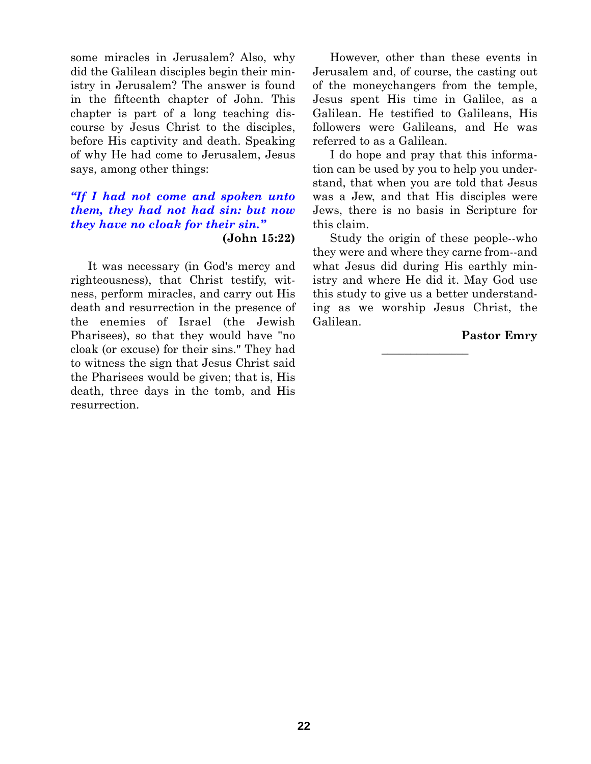some miracles in Jerusalem? Also, why did the Galilean disciples begin their ministry in Jerusalem? The answer is found in the fifteenth chapter of John. This chapter is part of a long teaching discourse by Jesus Christ to the disciples, before His captivity and death. Speaking of why He had come to Jerusalem, Jesus says, among other things:

## *"If I had not come and spoken unto them, they had not had sin: but now they have no cloak for their sin."* **(John 15:22)**

It was necessary (in God's mercy and righteousness), that Christ testify, witness, perform miracles, and carry out His death and resurrection in the presence of the enemies of Israel (the Jewish Pharisees), so that they would have "no cloak (or excuse) for their sins." They had to witness the sign that Jesus Christ said the Pharisees would be given; that is, His death, three days in the tomb, and His resurrection.

However, other than these events in Jerusalem and, of course, the casting out of the moneychangers from the temple, Jesus spent His time in Galilee, as a Galilean. He testified to Galileans, His followers were Galileans, and He was referred to as a Galilean.

I do hope and pray that this information can be used by you to help you understand, that when you are told that Jesus was a Jew, and that His disciples were Jews, there is no basis in Scripture for this claim.

Study the origin of these people--who they were and where they carne from--and what Jesus did during His earthly ministry and where He did it. May God use this study to give us a better understanding as we worship Jesus Christ, the Galilean.

## **Pastor Emry**

**\_\_\_\_\_\_\_\_\_\_\_\_\_\_\_**